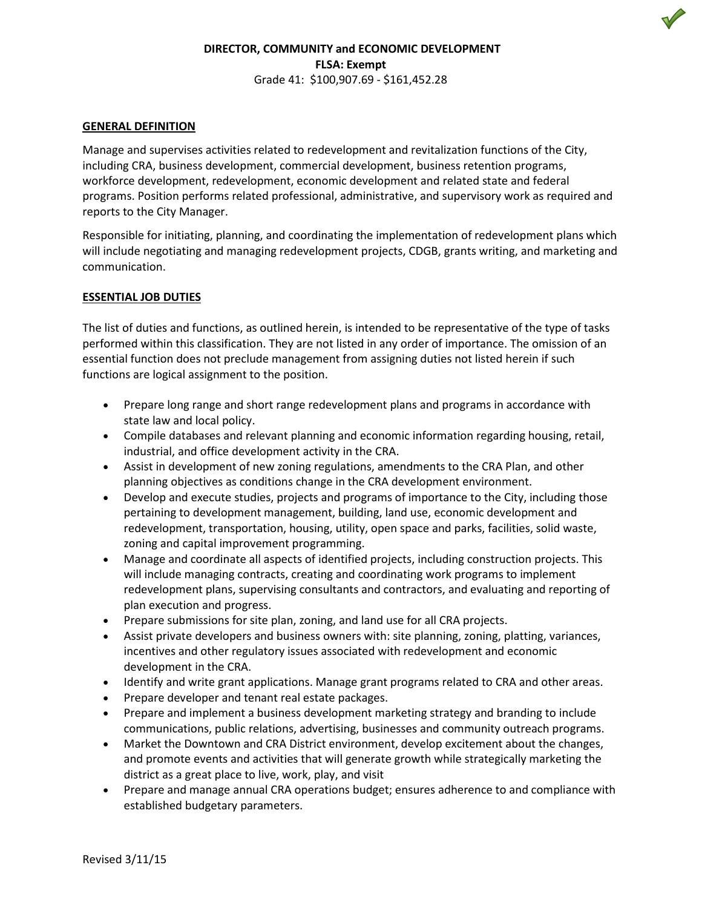# **DIRECTOR, COMMUNITY and ECONOMIC DEVELOPMENT FLSA: Exempt** Grade 41: \$100,907.69 - \$161,452.28

### **GENERAL DEFINITION**

Manage and supervises activities related to redevelopment and revitalization functions of the City, including CRA, business development, commercial development, business retention programs, workforce development, redevelopment, economic development and related state and federal programs. Position performs related professional, administrative, and supervisory work as required and reports to the City Manager.

Responsible for initiating, planning, and coordinating the implementation of redevelopment plans which will include negotiating and managing redevelopment projects, CDGB, grants writing, and marketing and communication.

### **ESSENTIAL JOB DUTIES**

The list of duties and functions, as outlined herein, is intended to be representative of the type of tasks performed within this classification. They are not listed in any order of importance. The omission of an essential function does not preclude management from assigning duties not listed herein if such functions are logical assignment to the position.

- Prepare long range and short range redevelopment plans and programs in accordance with state law and local policy.
- Compile databases and relevant planning and economic information regarding housing, retail, industrial, and office development activity in the CRA.
- Assist in development of new zoning regulations, amendments to the CRA Plan, and other planning objectives as conditions change in the CRA development environment.
- Develop and execute studies, projects and programs of importance to the City, including those pertaining to development management, building, land use, economic development and redevelopment, transportation, housing, utility, open space and parks, facilities, solid waste, zoning and capital improvement programming.
- Manage and coordinate all aspects of identified projects, including construction projects. This will include managing contracts, creating and coordinating work programs to implement redevelopment plans, supervising consultants and contractors, and evaluating and reporting of plan execution and progress.
- Prepare submissions for site plan, zoning, and land use for all CRA projects.
- Assist private developers and business owners with: site planning, zoning, platting, variances, incentives and other regulatory issues associated with redevelopment and economic development in the CRA.
- Identify and write grant applications. Manage grant programs related to CRA and other areas.
- Prepare developer and tenant real estate packages.
- Prepare and implement a business development marketing strategy and branding to include communications, public relations, advertising, businesses and community outreach programs.
- Market the Downtown and CRA District environment, develop excitement about the changes, and promote events and activities that will generate growth while strategically marketing the district as a great place to live, work, play, and visit
- Prepare and manage annual CRA operations budget; ensures adherence to and compliance with established budgetary parameters.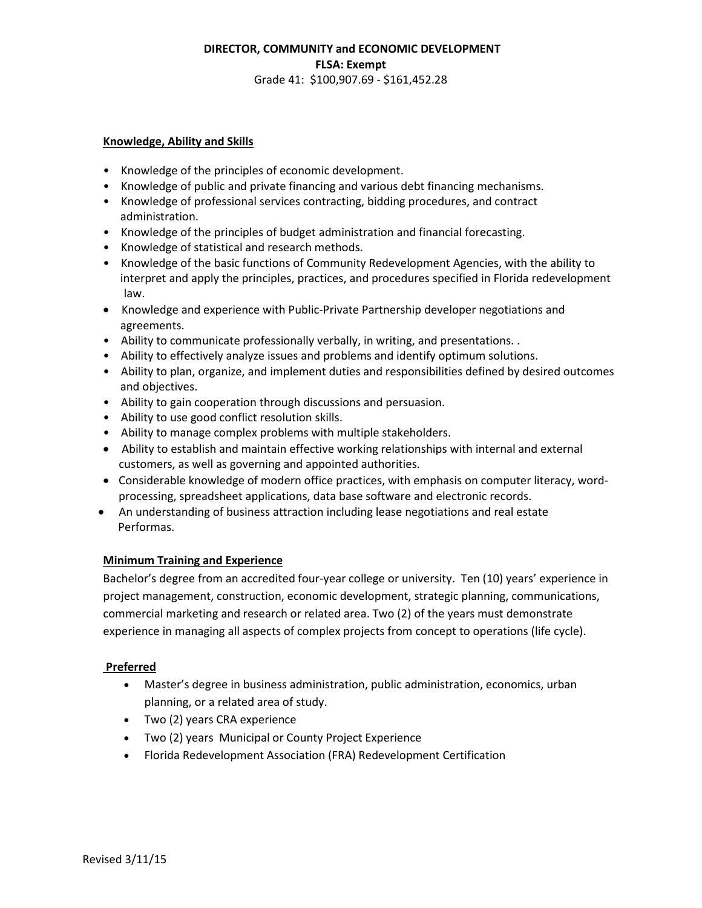# **DIRECTOR, COMMUNITY and ECONOMIC DEVELOPMENT FLSA: Exempt** Grade 41: \$100,907.69 - \$161,452.28

#### **Knowledge, Ability and Skills**

- Knowledge of the principles of economic development.
- Knowledge of public and private financing and various debt financing mechanisms.
- Knowledge of professional services contracting, bidding procedures, and contract administration.
- Knowledge of the principles of budget administration and financial forecasting.
- Knowledge of statistical and research methods.
- Knowledge of the basic functions of Community Redevelopment Agencies, with the ability to interpret and apply the principles, practices, and procedures specified in Florida redevelopment law.
- Knowledge and experience with Public-Private Partnership developer negotiations and agreements.
- Ability to communicate professionally verbally, in writing, and presentations. .
- Ability to effectively analyze issues and problems and identify optimum solutions.
- Ability to plan, organize, and implement duties and responsibilities defined by desired outcomes and objectives.
- Ability to gain cooperation through discussions and persuasion.
- Ability to use good conflict resolution skills.
- Ability to manage complex problems with multiple stakeholders.
- Ability to establish and maintain effective working relationships with internal and external customers, as well as governing and appointed authorities.
- Considerable knowledge of modern office practices, with emphasis on computer literacy, wordprocessing, spreadsheet applications, data base software and electronic records.
- An understanding of business attraction including lease negotiations and real estate Performas.

## **Minimum Training and Experience**

Bachelor's degree from an accredited four-year college or university. Ten (10) years' experience in project management, construction, economic development, strategic planning, communications, commercial marketing and research or related area. Two (2) of the years must demonstrate experience in managing all aspects of complex projects from concept to operations (life cycle).

## **Preferred**

- Master's degree in business administration, public administration, economics, urban planning, or a related area of study.
- Two (2) years CRA experience
- Two (2) years Municipal or County Project Experience
- Florida Redevelopment Association (FRA) Redevelopment Certification